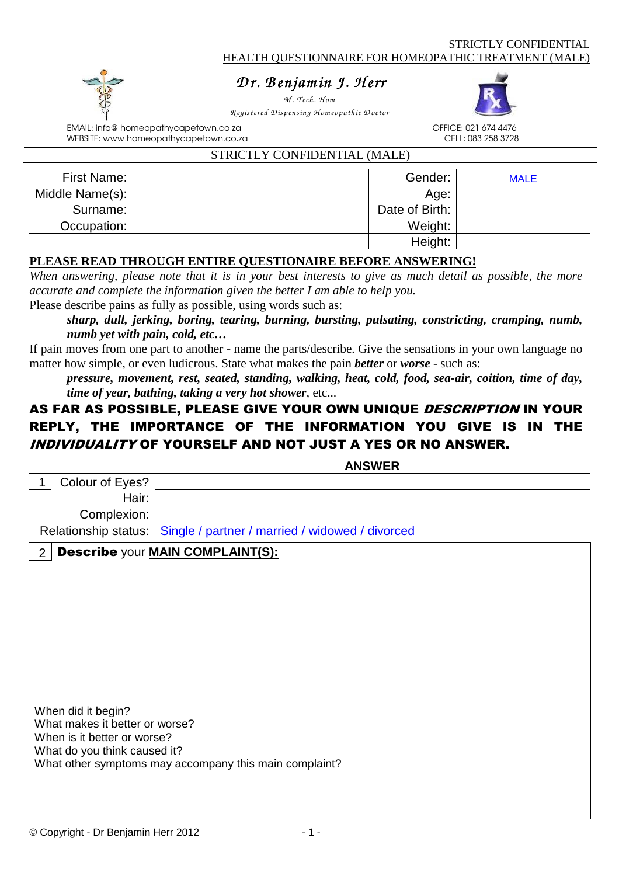# *D r . B enjam in J. H err enjam err*

*M . Tech. H om R egistered D ispensing H om eopathic D octor* 



EMAIL: info@ homeopathycapetown.co.za OFFICE: 021 674 4476 WEBSITE: www.homeopathycapetown.co.za

### STRICTLY CONFIDENTIAL (MALE)

| First Name:     | Gender:        | <b>MALE</b> |
|-----------------|----------------|-------------|
| Middle Name(s): | Age:           |             |
| Surname:        | Date of Birth: |             |
| Occupation:     | Weight:        |             |
|                 | Height:        |             |

## **PLEASE READ THROUGH ENTIRE QUESTIONAIRE BEFORE ANSWERING!**

*When answering, please note that it is in your best interests to give as much detail as possible, the more accurate and complete the information given the better I am able to help you.*

Please describe pains as fully as possible, using words such as:

*sharp, dull, jerking, boring, tearing, burning, bursting, pulsating, constricting, cramping, numb, numb yet with pain, cold, etc…*

If pain moves from one part to another - name the parts/describe. Give the sensations in your own language no matter how simple, or even ludicrous. State what makes the pain *better* or *worse* - such as:

*pressure, movement, rest, seated, standing, walking, heat, cold, food, sea-air, coition, time of day, time of year, bathing, taking a very hot shower*, etc...

## AS FAR AS POSSIBLE, PLEASE GIVE YOUR OWN UNIQUE DESCRIPTION IN YOUR REPLY, THE IMPORTANCE OF THE INFORMATION YOU GIVE IS IN THE INDIVIDUALITY OF YOURSELF AND NOT JUST A YES OR NO ANSWER.

|                                                                                                                     | <b>ANSWER</b>                                          |
|---------------------------------------------------------------------------------------------------------------------|--------------------------------------------------------|
| Colour of Eyes?                                                                                                     |                                                        |
| Hair:                                                                                                               |                                                        |
| Complexion:                                                                                                         |                                                        |
| Relationship status:                                                                                                | Single / partner / married / widowed / divorced        |
| 2 <sup>1</sup>                                                                                                      | <b>Describe your MAIN COMPLAINT(S):</b>                |
| When did it begin?<br>What makes it better or worse?<br>When is it better or worse?<br>What do you think caused it? | What other symptoms may accompany this main complaint? |

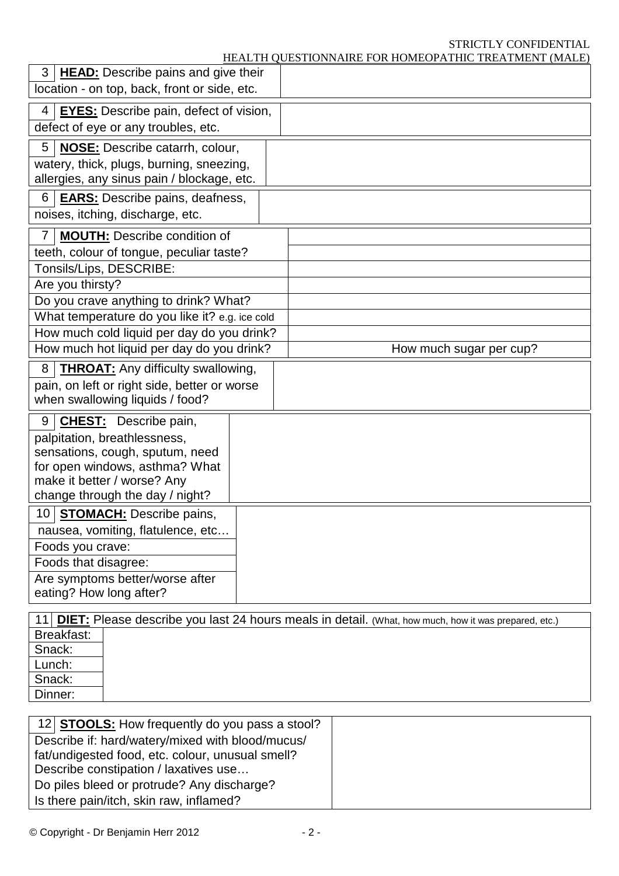# STRICTLY CONFIDENTIAL<br>THIC TREATMENT (MALE)

| HEALTH QUESTIONNAIRE FOR HOMEOPATHIC TREATMENT (MALE) |  |
|-------------------------------------------------------|--|
|-------------------------------------------------------|--|

| 3 <sup>1</sup><br><b>HEAD:</b> Describe pains and give their<br>location - on top, back, front or side, etc.                                                                                             |                         |
|----------------------------------------------------------------------------------------------------------------------------------------------------------------------------------------------------------|-------------------------|
| <b>EYES:</b> Describe pain, defect of vision,<br>4<br>defect of eye or any troubles, etc.                                                                                                                |                         |
| 5<br>NOSE: Describe catarrh, colour,<br>watery, thick, plugs, burning, sneezing,<br>allergies, any sinus pain / blockage, etc.                                                                           |                         |
| 6<br><b>EARS:</b> Describe pains, deafness,<br>noises, itching, discharge, etc.                                                                                                                          |                         |
| <b>MOUTH:</b> Describe condition of<br>7<br>teeth, colour of tongue, peculiar taste?                                                                                                                     |                         |
| Tonsils/Lips, DESCRIBE:<br>Are you thirsty?                                                                                                                                                              |                         |
| Do you crave anything to drink? What?                                                                                                                                                                    |                         |
| What temperature do you like it? e.g. ice cold                                                                                                                                                           |                         |
| How much cold liquid per day do you drink?                                                                                                                                                               |                         |
|                                                                                                                                                                                                          |                         |
| How much hot liquid per day do you drink?                                                                                                                                                                | How much sugar per cup? |
| 8<br><b>THROAT:</b> Any difficulty swallowing,<br>pain, on left or right side, better or worse<br>when swallowing liquids / food?                                                                        |                         |
| 9<br><b>CHEST:</b> Describe pain,<br>palpitation, breathlessness,<br>sensations, cough, sputum, need<br>for open windows, asthma? What<br>make it better / worse? Any<br>change through the day / night? |                         |
| 10 <sup>1</sup><br><b>STOMACH:</b> Describe pains,                                                                                                                                                       |                         |
| nausea, vomiting, flatulence, etc                                                                                                                                                                        |                         |
| Foods you crave:                                                                                                                                                                                         |                         |
| Foods that disagree:<br>Are symptoms better/worse after                                                                                                                                                  |                         |
| eating? How long after?                                                                                                                                                                                  |                         |

|            |  | TI PIET. TICQUU QUUCHUU YUQ IQULZT HUQIU HIUQIU III QUIQII. (WHAI, HUW HIQUI, HUW II WAS PIEPAIEQ, EIC.) |  |
|------------|--|----------------------------------------------------------------------------------------------------------|--|
| Breakfast: |  |                                                                                                          |  |
| Snack:     |  |                                                                                                          |  |
| Lunch:     |  |                                                                                                          |  |
| Snack:     |  |                                                                                                          |  |
| Dinner:    |  |                                                                                                          |  |
|            |  |                                                                                                          |  |

| 12 <b>STOOLS:</b> How frequently do you pass a stool? |  |
|-------------------------------------------------------|--|
| Describe if: hard/watery/mixed with blood/mucus/      |  |
| fat/undigested food, etc. colour, unusual smell?      |  |
| Describe constipation / laxatives use                 |  |
| Do piles bleed or protrude? Any discharge?            |  |
| Is there pain/itch, skin raw, inflamed?               |  |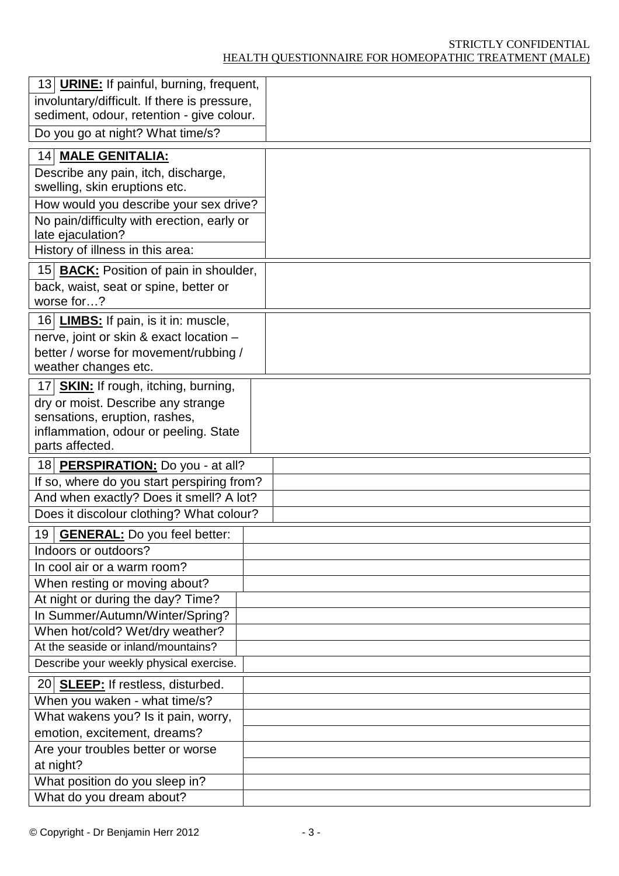#### STRICTLY CONFIDENTIAL HEALTH QUESTIONNAIRE FOR HOMEOPATHIC TREATMENT (MALE)

| 13 URINE: If painful, burning, frequent,                    |  |
|-------------------------------------------------------------|--|
| involuntary/difficult. If there is pressure,                |  |
| sediment, odour, retention - give colour.                   |  |
| Do you go at night? What time/s?                            |  |
|                                                             |  |
| 14 MALE GENITALIA:                                          |  |
| Describe any pain, itch, discharge,                         |  |
| swelling, skin eruptions etc.                               |  |
| How would you describe your sex drive?                      |  |
| No pain/difficulty with erection, early or                  |  |
| late ejaculation?                                           |  |
| History of illness in this area:                            |  |
| 15 <b>BACK:</b> Position of pain in shoulder,               |  |
| back, waist, seat or spine, better or                       |  |
| worse for?                                                  |  |
| 16 LIMBS: If pain, is it in: muscle,                        |  |
| nerve, joint or skin & exact location -                     |  |
| better / worse for movement/rubbing /                       |  |
| weather changes etc.                                        |  |
| <b>SKIN:</b> If rough, itching, burning,<br>17 <sup>1</sup> |  |
| dry or moist. Describe any strange                          |  |
| sensations, eruption, rashes,                               |  |
| inflammation, odour or peeling. State                       |  |
| parts affected.                                             |  |
| 18 PERSPIRATION: Do you - at all?                           |  |
| If so, where do you start perspiring from?                  |  |
| And when exactly? Does it smell? A lot?                     |  |
| Does it discolour clothing? What colour?                    |  |
| 19<br><b>GENERAL:</b> Do you feel better:                   |  |
| Indoors or outdoors?                                        |  |
| In cool air or a warm room?                                 |  |
| When resting or moving about?                               |  |
| At night or during the day? Time?                           |  |
| In Summer/Autumn/Winter/Spring?                             |  |
| When hot/cold? Wet/dry weather?                             |  |
| At the seaside or inland/mountains?                         |  |
| Describe your weekly physical exercise.                     |  |
| 20 SLEEP: If restless, disturbed.                           |  |
| When you waken - what time/s?                               |  |
| What wakens you? Is it pain, worry,                         |  |
| emotion, excitement, dreams?                                |  |
| Are your troubles better or worse                           |  |
| at night?                                                   |  |
| What position do you sleep in?                              |  |
| What do you dream about?                                    |  |
|                                                             |  |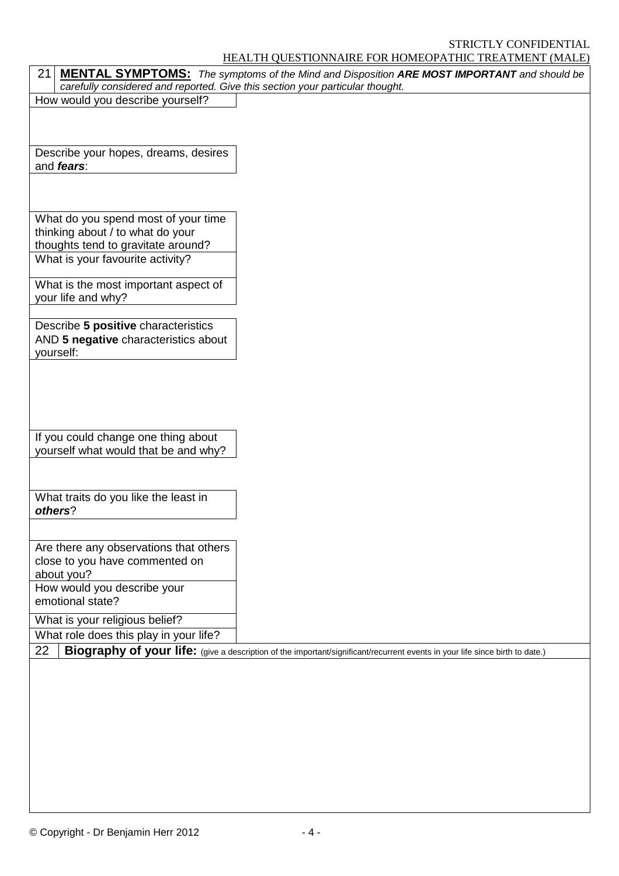## STRICTLY CONFIDENTIAL

## HEALTH QUESTIONNAIRE FOR HOMEOPATHIC TREATMENT (MALE)

| 21<br>carefully considered and reported. Give this section your particular thought. | <br><b>MENTAL SYMPTOMS:</b> The symptoms of the Mind and Disposition ARE MOST IMPORTANT and should be                        |
|-------------------------------------------------------------------------------------|------------------------------------------------------------------------------------------------------------------------------|
| How would you describe yourself?                                                    |                                                                                                                              |
|                                                                                     |                                                                                                                              |
|                                                                                     |                                                                                                                              |
|                                                                                     |                                                                                                                              |
| Describe your hopes, dreams, desires<br>and fears:                                  |                                                                                                                              |
|                                                                                     |                                                                                                                              |
|                                                                                     |                                                                                                                              |
|                                                                                     |                                                                                                                              |
| What do you spend most of your time                                                 |                                                                                                                              |
| thinking about / to what do your<br>thoughts tend to gravitate around?              |                                                                                                                              |
| What is your favourite activity?                                                    |                                                                                                                              |
|                                                                                     |                                                                                                                              |
| What is the most important aspect of                                                |                                                                                                                              |
| your life and why?                                                                  |                                                                                                                              |
| Describe 5 positive characteristics                                                 |                                                                                                                              |
| AND 5 negative characteristics about                                                |                                                                                                                              |
| yourself:                                                                           |                                                                                                                              |
|                                                                                     |                                                                                                                              |
|                                                                                     |                                                                                                                              |
|                                                                                     |                                                                                                                              |
|                                                                                     |                                                                                                                              |
|                                                                                     |                                                                                                                              |
| If you could change one thing about<br>yourself what would that be and why?         |                                                                                                                              |
|                                                                                     |                                                                                                                              |
|                                                                                     |                                                                                                                              |
| What traits do you like the least in                                                |                                                                                                                              |
| others?                                                                             |                                                                                                                              |
|                                                                                     |                                                                                                                              |
|                                                                                     |                                                                                                                              |
| Are there any observations that others<br>close to you have commented on            |                                                                                                                              |
| about you?                                                                          |                                                                                                                              |
| How would you describe your                                                         |                                                                                                                              |
| emotional state?                                                                    |                                                                                                                              |
| What is your religious belief?                                                      |                                                                                                                              |
| What role does this play in your life?                                              |                                                                                                                              |
| 22                                                                                  | Biography of your life: (give a description of the important/significant/recurrent events in your life since birth to date.) |
|                                                                                     |                                                                                                                              |
|                                                                                     |                                                                                                                              |
|                                                                                     |                                                                                                                              |
|                                                                                     |                                                                                                                              |
|                                                                                     |                                                                                                                              |
|                                                                                     |                                                                                                                              |
|                                                                                     |                                                                                                                              |
|                                                                                     |                                                                                                                              |